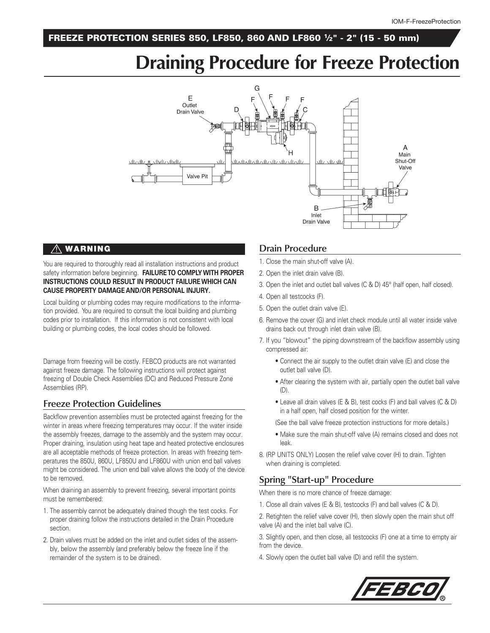#### FREEZE PROTECTION SERIES 850, LF850, 860 AND LF860 1⁄2" - 2" (15 - 50 mm)

## **Draining Procedure for Freeze Protection**



#### $\land$  WARNING

You are required to thoroughly read all installation instructions and product safety information before beginning. **FAILURE TO COMPLY WITH PROPER INSTRUCTIONS COULD RESULT IN PRODUCT FAILURE WHICH CAN CAUSE PROPERTY DAMAGE AND/OR PERSONAL INJURY.**

Local building or plumbing codes may require modifications to the information provided. You are required to consult the local building and plumbing codes prior to installation. If this information is not consistent with local building or plumbing codes, the local codes should be followed.

Damage from freezing will be costly. FEBCO products are not warranted against freeze damage. The following instructions will protect against freezing of Double Check Assemblies (DC) and Reduced Pressure Zone Assemblies (RP).

### **Freeze Protection Guidelines**

Backflow prevention assemblies must be protected against freezing for the winter in areas where freezing temperatures may occur. If the water inside the assembly freezes, damage to the assembly and the system may occur. Proper draining, insulation using heat tape and heated protective enclosures are all acceptable methods of freeze protection. In areas with freezing temperatures the 850U, 860U, LF850U and LF860U with union end ball valves might be considered. The union end ball valve allows the body of the device to be removed.

When draining an assembly to prevent freezing, several important points must be remembered:

- 1. The assembly cannot be adequately drained though the test cocks. For proper draining follow the instructions detailed in the Drain Procedure section.
- 2. Drain valves must be added on the inlet and outlet sides of the assembly, below the assembly (and preferably below the freeze line if the remainder of the system is to be drained).

#### **Drain Procedure**

- 1. Close the main shut-off valve (A).
- 2. Open the inlet drain valve (B).
- 3. Open the inlet and outlet ball valves (C & D) 45° (half open, half closed).
- 4. Open all testcocks (F).
- 5. Open the outlet drain valve (E).
- 6. Remove the cover (G) and inlet check module until all water inside valve drains back out through inlet drain valve (B).
- 7. If you "blowout" the piping downstream of the backflow assembly using compressed air:
- $\bullet$  Connect the air supply to the outlet drain valve (E) and close the outlet ball valve (D).
	- After clearing the system with air, partially open the outlet ball valve (D).
- $\bullet$  Leave all drain valves (E & B), test cocks (F) and ball valves (C & D) in a half open, half closed position for the winter.
	- (See the ball valve freeze protection instructions for more details.)
- $\bullet$  Make sure the main shut-off valve (A) remains closed and does not leak.
- 8. (RP UNITS ONLY) Loosen the relief valve cover (H) to drain. Tighten when draining is completed.

### **Spring "Start-up" Procedure**

When there is no more chance of freeze damage:

- 1. Close all drain valves (E & B), testcocks (F) and ball valves (C & D).
- 2. Retighten the relief valve cover (H), then slowly open the main shut off valve (A) and the inlet ball valve (C).

3. Slightly open, and then close, all testcocks (F) one at a time to empty air from the device.

4. Slowly open the outlet ball valve (D) and refill the system.